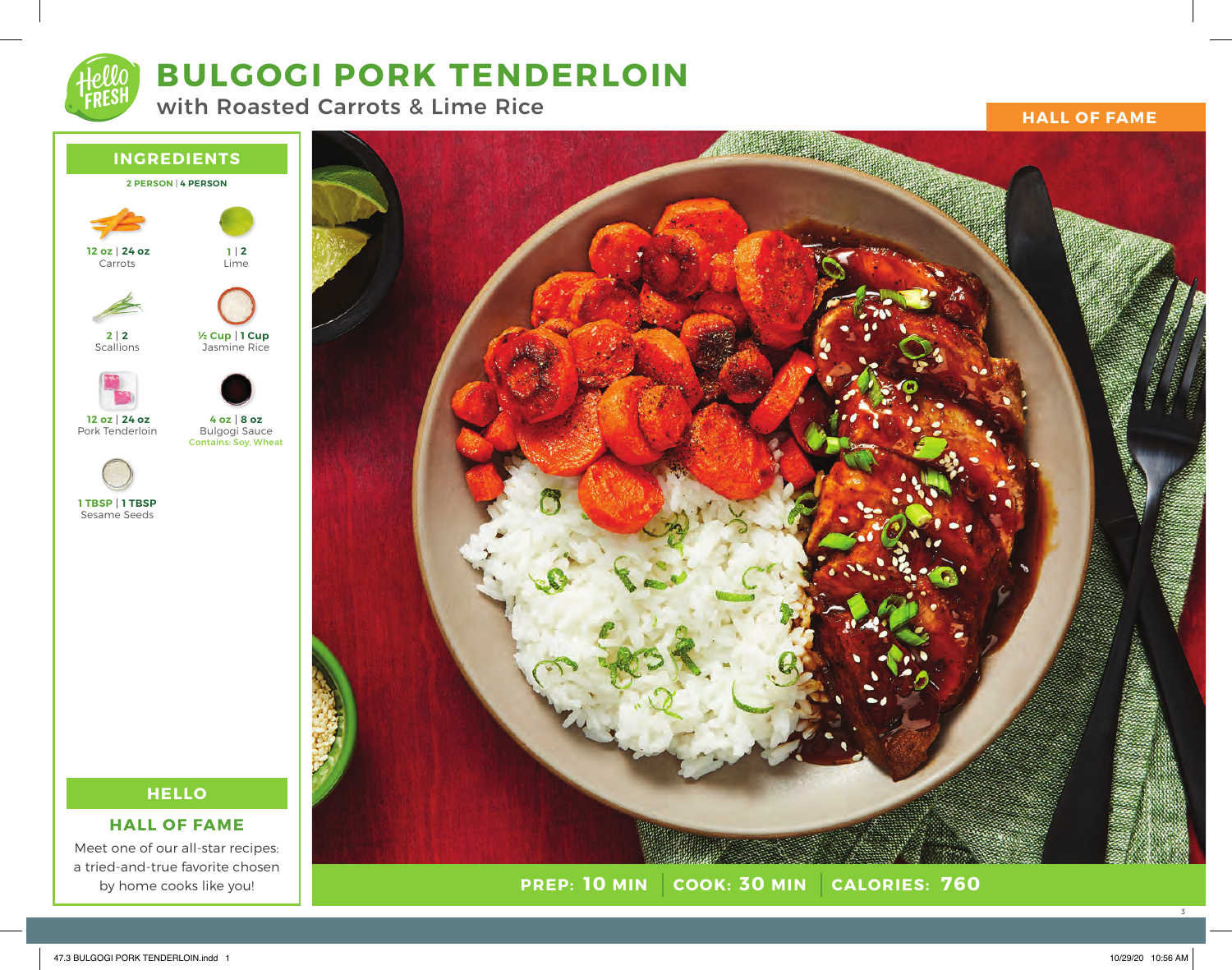

# **BULGOGI PORK TENDERLOIN**

with Roasted Carrots & Lime Rice **HALL OF FAME** 





**PREP: 10 MIN COOK: 30 MIN 10 MIN 30 MIN 760**

3